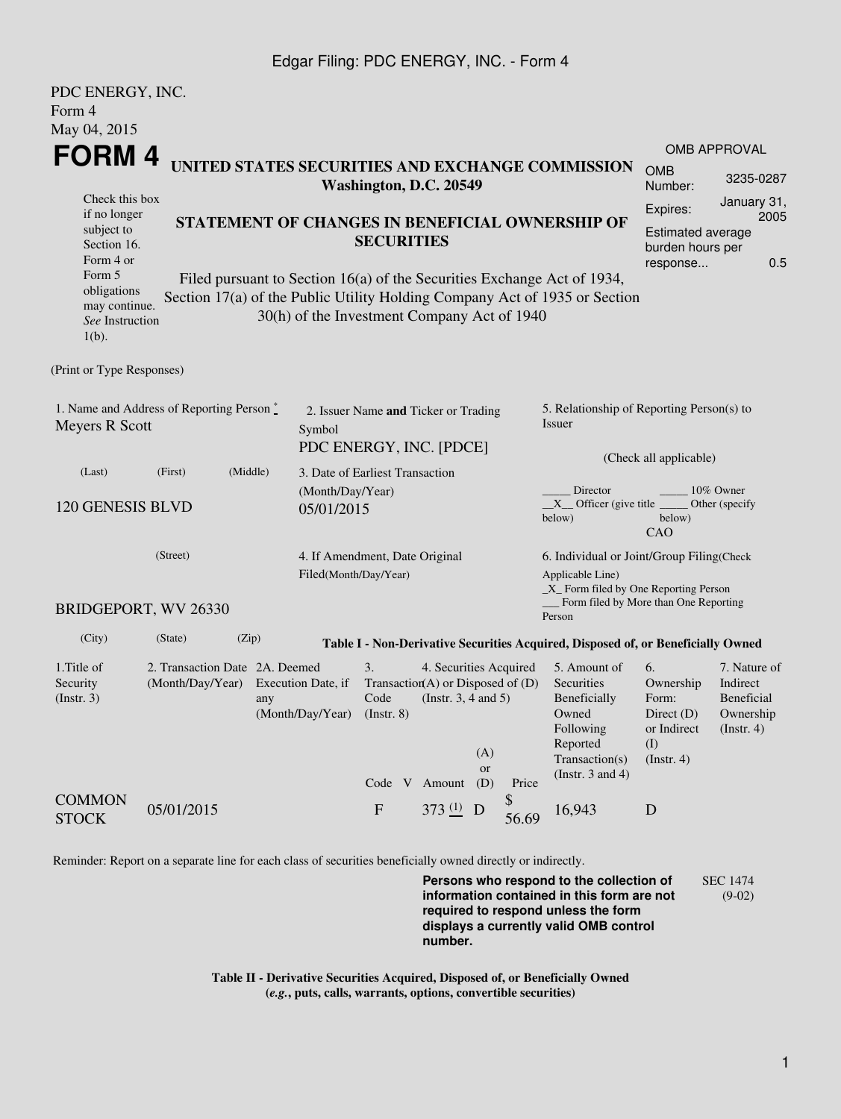#### Edgar Filing: PDC ENERGY, INC. - Form 4

| PDC ENERGY, INC.                                                                               |                  |                                |                                                                     |                                                 |  |                                     |           |                                                     |                                                                                             |                             |                     |  |
|------------------------------------------------------------------------------------------------|------------------|--------------------------------|---------------------------------------------------------------------|-------------------------------------------------|--|-------------------------------------|-----------|-----------------------------------------------------|---------------------------------------------------------------------------------------------|-----------------------------|---------------------|--|
| Form 4                                                                                         |                  |                                |                                                                     |                                                 |  |                                     |           |                                                     |                                                                                             |                             |                     |  |
| May 04, 2015                                                                                   |                  |                                |                                                                     |                                                 |  |                                     |           |                                                     |                                                                                             |                             |                     |  |
|                                                                                                |                  |                                |                                                                     |                                                 |  |                                     |           |                                                     |                                                                                             |                             | <b>OMB APPROVAL</b> |  |
| FORM 4<br>UNITED STATES SECURITIES AND EXCHANGE COMMISSION<br>Washington, D.C. 20549           |                  |                                |                                                                     |                                                 |  |                                     |           | <b>OMB</b><br>Number:                               | 3235-0287                                                                                   |                             |                     |  |
| Check this box                                                                                 |                  |                                |                                                                     |                                                 |  |                                     |           |                                                     |                                                                                             | Expires:                    | January 31,         |  |
| if no longer<br>subject to                                                                     |                  |                                |                                                                     | STATEMENT OF CHANGES IN BENEFICIAL OWNERSHIP OF |  |                                     |           |                                                     |                                                                                             | Estimated average           | 2005                |  |
| Section 16.                                                                                    |                  |                                |                                                                     | <b>SECURITIES</b>                               |  |                                     |           |                                                     |                                                                                             | burden hours per            |                     |  |
| Form 4 or                                                                                      |                  |                                |                                                                     |                                                 |  |                                     |           | 0.5<br>response                                     |                                                                                             |                             |                     |  |
| Form 5<br>obligations                                                                          |                  |                                |                                                                     |                                                 |  |                                     |           |                                                     | Filed pursuant to Section 16(a) of the Securities Exchange Act of 1934,                     |                             |                     |  |
| may continue.                                                                                  |                  |                                |                                                                     |                                                 |  |                                     |           |                                                     | Section 17(a) of the Public Utility Holding Company Act of 1935 or Section                  |                             |                     |  |
| See Instruction<br>$1(b)$ .                                                                    |                  |                                | 30(h) of the Investment Company Act of 1940                         |                                                 |  |                                     |           |                                                     |                                                                                             |                             |                     |  |
| (Print or Type Responses)                                                                      |                  |                                |                                                                     |                                                 |  |                                     |           |                                                     |                                                                                             |                             |                     |  |
| 1. Name and Address of Reporting Person $\stackrel{*}{\mathbb{L}}$<br>Meyers R Scott<br>Symbol |                  |                                | 2. Issuer Name and Ticker or Trading                                |                                                 |  |                                     |           | 5. Relationship of Reporting Person(s) to<br>Issuer |                                                                                             |                             |                     |  |
|                                                                                                |                  |                                |                                                                     | PDC ENERGY, INC. [PDCE]                         |  |                                     |           |                                                     | (Check all applicable)                                                                      |                             |                     |  |
| (Last)                                                                                         | (First)          | (Middle)                       | 3. Date of Earliest Transaction                                     |                                                 |  |                                     |           |                                                     |                                                                                             |                             |                     |  |
|                                                                                                |                  |                                | (Month/Day/Year)                                                    |                                                 |  |                                     |           |                                                     | Director<br>10% Owner<br>$X$ Officer (give title<br>Other (specify                          |                             |                     |  |
| 120 GENESIS BLVD                                                                               |                  |                                | 05/01/2015                                                          |                                                 |  |                                     |           |                                                     | below)<br>below)<br>CAO                                                                     |                             |                     |  |
| (Street)                                                                                       |                  |                                |                                                                     | 4. If Amendment, Date Original                  |  |                                     |           |                                                     | 6. Individual or Joint/Group Filing(Check                                                   |                             |                     |  |
|                                                                                                |                  |                                |                                                                     | Filed(Month/Day/Year)                           |  |                                     |           |                                                     | Applicable Line)                                                                            |                             |                     |  |
| BRIDGEPORT, WV 26330                                                                           |                  |                                |                                                                     |                                                 |  |                                     |           |                                                     | $\_X$ Form filed by One Reporting Person<br>Form filed by More than One Reporting<br>Person |                             |                     |  |
| (City)                                                                                         | (State)          | (Zip)                          |                                                                     |                                                 |  |                                     |           |                                                     | Table I - Non-Derivative Securities Acquired, Disposed of, or Beneficially Owned            |                             |                     |  |
| 1. Title of                                                                                    |                  | 2. Transaction Date 2A. Deemed |                                                                     | 3.                                              |  | 4. Securities Acquired              |           |                                                     | 5. Amount of                                                                                | 6.                          | 7. Nature of        |  |
| Security                                                                                       | (Month/Day/Year) |                                | Execution Date, if                                                  |                                                 |  | Transaction(A) or Disposed of $(D)$ |           |                                                     | Securities                                                                                  | Ownership<br>Form:          | Indirect            |  |
| (Insert. 3)                                                                                    |                  | any                            | Code<br>(Instr. $3, 4$ and $5$ )<br>(Month/Day/Year)<br>(Insert. 8) |                                                 |  |                                     |           | Beneficially<br>Owned                               | Beneficial<br>Ownership                                                                     |                             |                     |  |
|                                                                                                |                  |                                |                                                                     |                                                 |  |                                     |           |                                                     | Following                                                                                   | Direct $(D)$<br>or Indirect | (Insert. 4)         |  |
|                                                                                                |                  |                                |                                                                     |                                                 |  |                                     | (A)       |                                                     | Reported<br>Transaction(s)                                                                  | (I)                         |                     |  |
|                                                                                                |                  |                                |                                                                     |                                                 |  |                                     | <b>or</b> |                                                     | (Instr. $3$ and $4$ )                                                                       | $($ Instr. 4 $)$            |                     |  |
|                                                                                                |                  |                                |                                                                     |                                                 |  | Code V Amount                       | (D)       | Price                                               |                                                                                             |                             |                     |  |
| <b>COMMON</b><br><b>STOCK</b>                                                                  | 05/01/2015       |                                |                                                                     | $\boldsymbol{\mathrm{F}}$                       |  | 373 $(1)$ D                         |           | \$<br>56.69                                         | 16,943                                                                                      | D                           |                     |  |

Reminder: Report on a separate line for each class of securities beneficially owned directly or indirectly.

**Persons who respond to the collection of information contained in this form are not required to respond unless the form displays a currently valid OMB control number.** SEC 1474 (9-02)

**Table II - Derivative Securities Acquired, Disposed of, or Beneficially Owned (***e.g.***, puts, calls, warrants, options, convertible securities)**